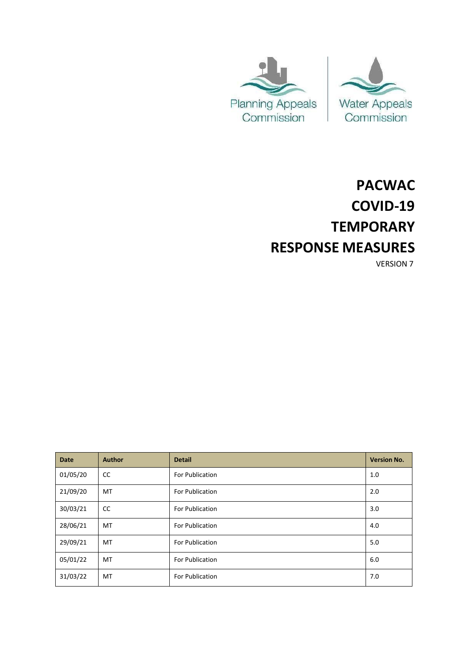



# **PACWAC COVID-19 TEMPORARY RESPONSE MEASURES**

VERSION 7

| <b>Date</b> | <b>Author</b> | <b>Detail</b>   | <b>Version No.</b> |
|-------------|---------------|-----------------|--------------------|
| 01/05/20    | CC            | For Publication | 1.0                |
| 21/09/20    | MT            | For Publication | 2.0                |
| 30/03/21    | CC            | For Publication | 3.0                |
| 28/06/21    | MT            | For Publication | 4.0                |
| 29/09/21    | MT            | For Publication | 5.0                |
| 05/01/22    | MT            | For Publication | 6.0                |
| 31/03/22    | MT            | For Publication | 7.0                |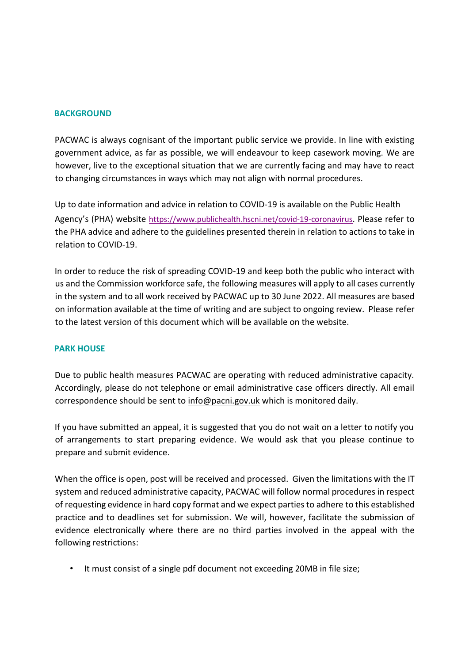## **BACKGROUND**

PACWAC is always cognisant of the important public service we provide. In line with existing government advice, as far as possible, we will endeavour to keep casework moving. We are however, live to the exceptional situation that we are currently facing and may have to react to changing circumstances in ways which may not align with normal procedures.

Up to date information and advice in relation to COVID-19 is available on the Public Health Agency's (PHA) website <https://www.publichealth.hscni.net/covid-19-coronavirus>[. Pl](https://www.publichealth.hscni.net/covid-19-coronavirus)ease refer to the PHA advice and adhere to the guidelines presented therein in relation to actions to take in relation to COVID-19.

In order to reduce the risk of spreading COVID-19 and keep both the public who interact with us and the Commission workforce safe, the following measures will apply to all cases currently in the system and to all work received by PACWAC up to 30 June 2022. All measures are based on information available at the time of writing and are subject to ongoing review. Please refer to the latest version of this document which will be available on the website.

#### **PARK HOUSE**

Due to public health measures PACWAC are operating with reduced administrative capacity. Accordingly, please do not telephone or email administrative case officers directly. All email correspondence should be sent to [info@pacni.gov.uk](mailto:info@pacni.gov.uk) which is monitored daily.

If you have submitted an appeal, it is suggested that you do not wait on a letter to notify you of arrangements to start preparing evidence. We would ask that you please continue to prepare and submit evidence.

When the office is open, post will be received and processed. Given the limitations with the IT system and reduced administrative capacity, PACWAC will follow normal procedures in respect of requesting evidence in hard copy format and we expect partiesto adhere to this established practice and to deadlines set for submission. We will, however, facilitate the submission of evidence electronically where there are no third parties involved in the appeal with the following restrictions:

• It must consist of a single pdf document not exceeding 20MB in file size;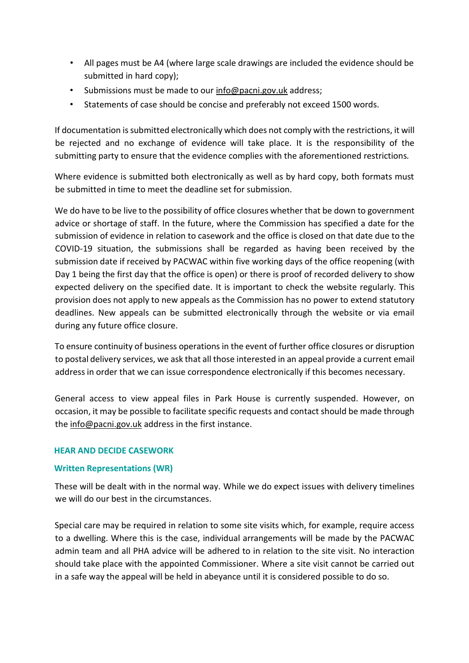- All pages must be A4 (where large scale drawings are included the evidence should be submitted in hard copy);
- Submissions must be made to our [info@pacni.gov.uk](mailto:info@pacni.gov.uk) address;
- Statements of case should be concise and preferably not exceed 1500 words.

If documentation is submitted electronically which does not comply with the restrictions, it will be rejected and no exchange of evidence will take place. It is the responsibility of the submitting party to ensure that the evidence complies with the aforementioned restrictions*.*

Where evidence is submitted both electronically as well as by hard copy, both formats must be submitted in time to meet the deadline set for submission.

We do have to be live to the possibility of office closures whether that be down to government advice or shortage of staff. In the future, where the Commission has specified a date for the submission of evidence in relation to casework and the office is closed on that date due to the COVID-19 situation, the submissions shall be regarded as having been received by the submission date if received by PACWAC within five working days of the office reopening (with Day 1 being the first day that the office is open) or there is proof of recorded delivery to show expected delivery on the specified date. It is important to check the website regularly. This provision does not apply to new appeals as the Commission has no power to extend statutory deadlines. New appeals can be submitted electronically through the website or via email during any future office closure.

To ensure continuity of business operations in the event of further office closures or disruption to postal delivery services, we ask that all those interested in an appeal provide a current email address in order that we can issue correspondence electronically if this becomes necessary.

General access to view appeal files in Park House is currently suspended. However, on occasion, it may be possible to facilitate specific requests and contact should be made through the [info@pacni.gov.uk](mailto:info@pacni.gov.uk) address in the first instance.

#### **HEAR AND DECIDE CASEWORK**

# **Written Representations (WR)**

These will be dealt with in the normal way. While we do expect issues with delivery timelines we will do our best in the circumstances.

Special care may be required in relation to some site visits which, for example, require access to a dwelling. Where this is the case, individual arrangements will be made by the PACWAC admin team and all PHA advice will be adhered to in relation to the site visit. No interaction should take place with the appointed Commissioner. Where a site visit cannot be carried out in a safe way the appeal will be held in abeyance until it is considered possible to do so.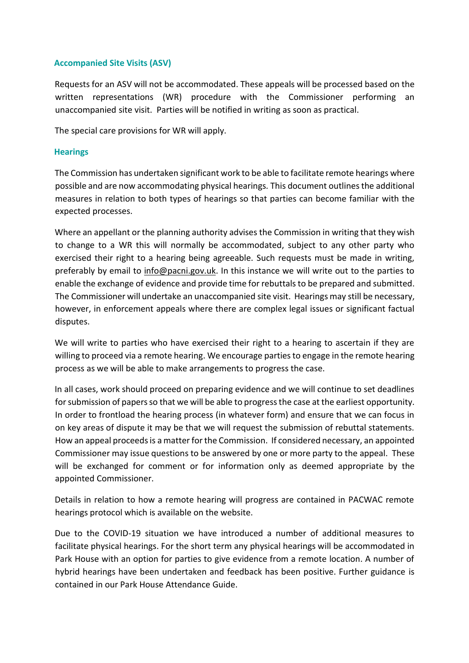## **Accompanied Site Visits (ASV)**

Requests for an ASV will not be accommodated. These appeals will be processed based on the written representations (WR) procedure with the Commissioner performing an unaccompanied site visit. Parties will be notified in writing as soon as practical.

The special care provisions for WR will apply.

## **Hearings**

The Commission has undertaken significant work to be able to facilitate remote hearings where possible and are now accommodating physical hearings*.* This document outlines the additional measures in relation to both types of hearings so that parties can become familiar with the expected processes.

Where an appellant or the planning authority advises the Commission in writing that they wish to change to a WR this will normally be accommodated, subject to any other party who exercised their right to a hearing being agreeable. Such requests must be made in writing, preferably by email to [info@pacni.gov.uk.](mailto:info@pacni.gov.uk) In this instance we will write out to the parties to enable the exchange of evidence and provide time for rebuttals to be prepared and submitted. The Commissioner will undertake an unaccompanied site visit. Hearings may still be necessary, however, in enforcement appeals where there are complex legal issues or significant factual disputes.

We will write to parties who have exercised their right to a hearing to ascertain if they are willing to proceed via a remote hearing. We encourage parties to engage in the remote hearing process as we will be able to make arrangements to progress the case.

In all cases, work should proceed on preparing evidence and we will continue to set deadlines for submission of papers so that we will be able to progress the case at the earliest opportunity. In order to frontload the hearing process (in whatever form) and ensure that we can focus in on key areas of dispute it may be that we will request the submission of rebuttal statements. How an appeal proceeds is a matter for the Commission. If considered necessary, an appointed Commissioner may issue questions to be answered by one or more party to the appeal. These will be exchanged for comment or for information only as deemed appropriate by the appointed Commissioner.

Details in relation to how a remote hearing will progress are contained in PACWAC remote hearings protocol which is available on the website.

Due to the COVID-19 situation we have introduced a number of additional measures to facilitate physical hearings. For the short term any physical hearings will be accommodated in Park House with an option for parties to give evidence from a remote location. A number of hybrid hearings have been undertaken and feedback has been positive. Further guidance is contained in our Park House Attendance Guide.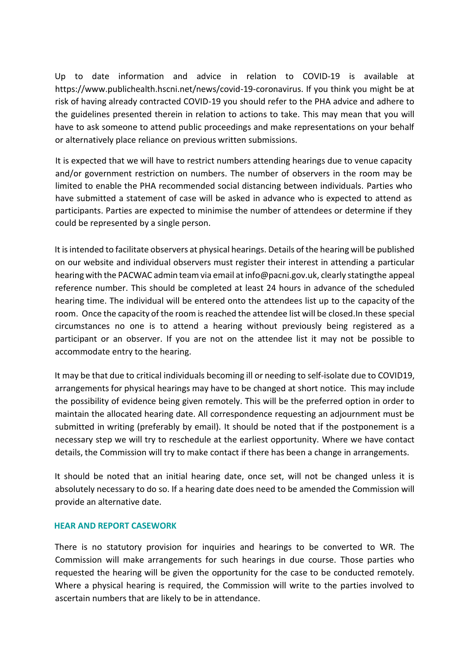Up to date information and advice in relation to COVID-19 is available at https:/[/www.publichealth.hscni.net/news/covid-19-coronavirus.](http://www.publichealth.hscni.net/news/covid-19-coronavirus) If you think you might be at risk of having already contracted COVID-19 you should refer to the PHA advice and adhere to the guidelines presented therein in relation to actions to take. This may mean that you will have to ask someone to attend public proceedings and make representations on your behalf or alternatively place reliance on previous written submissions.

It is expected that we will have to restrict numbers attending hearings due to venue capacity and/or government restriction on numbers. The number of observers in the room may be limited to enable the PHA recommended social distancing between individuals. Parties who have submitted a statement of case will be asked in advance who is expected to attend as participants. Parties are expected to minimise the number of attendees or determine if they could be represented by a single person.

It is intended to facilitate observers at physical hearings. Details of the hearing will be published on our website and individual observers must register their interest in attending a particular hearing with the PACWAC admin team via email at info@pacni.gov.uk, clearly statingthe appeal reference number. This should be completed at least 24 hours in advance of the scheduled hearing time. The individual will be entered onto the attendees list up to the capacity of the room. Once the capacity of the room is reached the attendee list will be closed. In these special circumstances no one is to attend a hearing without previously being registered as a participant or an observer. If you are not on the attendee list it may not be possible to accommodate entry to the hearing.

It may be that due to critical individuals becoming ill or needing to self-isolate due to COVID19, arrangements for physical hearings may have to be changed at short notice. This may include the possibility of evidence being given remotely. This will be the preferred option in order to maintain the allocated hearing date. All correspondence requesting an adjournment must be submitted in writing (preferably by email). It should be noted that if the postponement is a necessary step we will try to reschedule at the earliest opportunity. Where we have contact details, the Commission will try to make contact if there has been a change in arrangements.

It should be noted that an initial hearing date, once set, will not be changed unless it is absolutely necessary to do so. If a hearing date does need to be amended the Commission will provide an alternative date.

#### **HEAR AND REPORT CASEWORK**

There is no statutory provision for inquiries and hearings to be converted to WR. The Commission will make arrangements for such hearings in due course. Those parties who requested the hearing will be given the opportunity for the case to be conducted remotely. Where a physical hearing is required, the Commission will write to the parties involved to ascertain numbers that are likely to be in attendance.